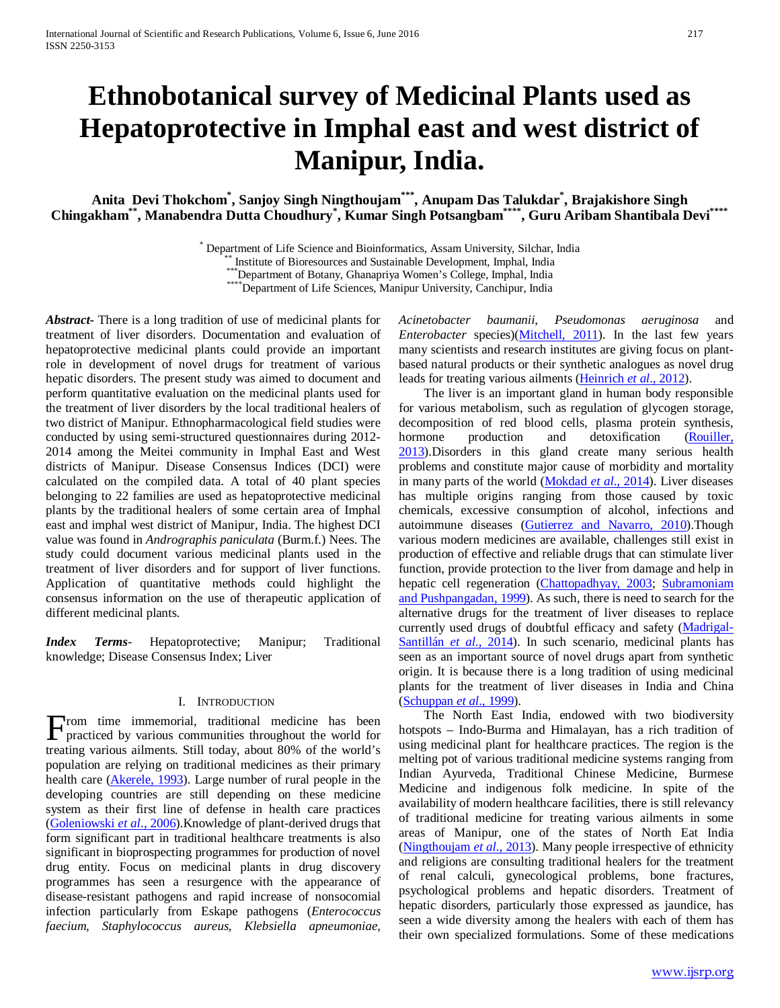# **Ethnobotanical survey of Medicinal Plants used as Hepatoprotective in Imphal east and west district of Manipur, India.**

**Anita Devi Thokchom\* , Sanjoy Singh Ningthoujam\*\*\*, Anupam Das Talukdar\* , Brajakishore Singh Chingakham\*\*, Manabendra Dutta Choudhury\* , Kumar Singh Potsangbam\*\*\*\*, Guru Aribam Shantibala Devi\*\*\*\***

\* Department of Life Science and Bioinformatics, Assam University, Silchar, India<br>\*\*\* Institute of Bioresources and Sustainable Development, Imphal, India<br>\*\*\*\*Department of Botany, Ghanapriya Women's College, Imphal, India

*Abstract***-** There is a long tradition of use of medicinal plants for treatment of liver disorders. Documentation and evaluation of hepatoprotective medicinal plants could provide an important role in development of novel drugs for treatment of various hepatic disorders. The present study was aimed to document and perform quantitative evaluation on the medicinal plants used for the treatment of liver disorders by the local traditional healers of two district of Manipur. Ethnopharmacological field studies were conducted by using semi-structured questionnaires during 2012- 2014 among the Meitei community in Imphal East and West districts of Manipur. Disease Consensus Indices (DCI) were calculated on the compiled data. A total of 40 plant species belonging to 22 families are used as hepatoprotective medicinal plants by the traditional healers of some certain area of Imphal east and imphal west district of Manipur, India. The highest DCI value was found in *Andrographis paniculata* (Burm.f.) Nees. The study could document various medicinal plants used in the treatment of liver disorders and for support of liver functions. Application of quantitative methods could highlight the consensus information on the use of therapeutic application of different medicinal plants.

*Index Terms*- Hepatoprotective; Manipur; Traditional knowledge; Disease Consensus Index; Liver

#### I. INTRODUCTION

From time immemorial, traditional medicine has been practiced by various communities throughout the world for practiced by various communities throughout the world for treating various ailments. Still today, about 80% of the world's population are relying on traditional medicines as their primary health care (Akerele, 1993). Large number of rural people in the developing countries are still depending on these medicine system as their first line of defense in health care practices (Goleniowski *et al*., 2006).Knowledge of plant-derived drugs that form significant part in traditional healthcare treatments is also significant in bioprospecting programmes for production of novel drug entity. Focus on medicinal plants in drug discovery programmes has seen a resurgence with the appearance of disease-resistant pathogens and rapid increase of nonsocomial infection particularly from Eskape pathogens (*Enterococcus faecium, Staphylococcus aureus, Klebsiella apneumoniae,* 

*Acinetobacter baumanii, Pseudomonas aeruginosa* and *Enterobacter* species)(*Mitchell, 2011*). In the last few years many scientists and research institutes are giving focus on plantbased natural products or their synthetic analogues as novel drug leads for treating various ailments (Heinrich *et al*., 2012).

 The liver is an important gland in human body responsible for various metabolism, such as regulation of glycogen storage, decomposition of red blood cells, plasma protein synthesis,<br>hormone production and detoxification (Rouiller, hormone production and detoxification 2013).Disorders in this gland create many serious health problems and constitute major cause of morbidity and mortality in many parts of the world (Mokdad *et al*., 2014). Liver diseases has multiple origins ranging from those caused by toxic chemicals, excessive consumption of alcohol, infections and autoimmune diseases (Gutierrez and Navarro, 2010).Though various modern medicines are available, challenges still exist in production of effective and reliable drugs that can stimulate liver function, provide protection to the liver from damage and help in hepatic cell regeneration (Chattopadhyay, 2003; Subramoniam and Pushpangadan, 1999). As such, there is need to search for the alternative drugs for the treatment of liver diseases to replace currently used drugs of doubtful efficacy and safety (Madrigal-Santillán *et al*., 2014). In such scenario, medicinal plants has seen as an important source of novel drugs apart from synthetic origin. It is because there is a long tradition of using medicinal plants for the treatment of liver diseases in India and China (Schuppan *et al*., 1999).

 The North East India, endowed with two biodiversity hotspots – Indo-Burma and Himalayan, has a rich tradition of using medicinal plant for healthcare practices. The region is the melting pot of various traditional medicine systems ranging from Indian Ayurveda, Traditional Chinese Medicine, Burmese Medicine and indigenous folk medicine. In spite of the availability of modern healthcare facilities, there is still relevancy of traditional medicine for treating various ailments in some areas of Manipur, one of the states of North Eat India (Ningthoujam *et al*., 2013). Many people irrespective of ethnicity and religions are consulting traditional healers for the treatment of renal calculi, gynecological problems, bone fractures, psychological problems and hepatic disorders. Treatment of hepatic disorders, particularly those expressed as jaundice, has seen a wide diversity among the healers with each of them has their own specialized formulations. Some of these medications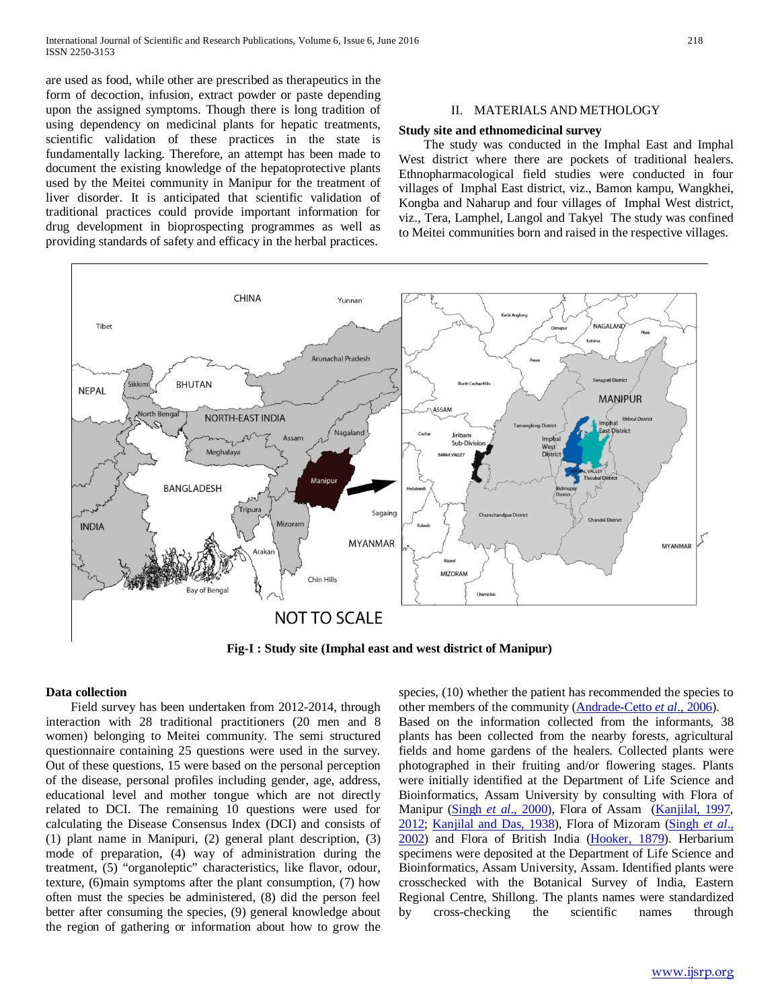are used as food, while other are prescribed as therapeutics in the form of decoction, infusion, extract powder or paste depending upon the assigned symptoms. Though there is long tradition of using dependency on medicinal plants for hepatic treatments, scientific validation of these practices in the state is fundamentally lacking. Therefore, an attempt has been made to document the existing knowledge of the hepatoprotective plants used by the Meitei community in Manipur for the treatment of liver disorder. It is anticipated that scientific validation of traditional practices could provide important information for drug development in bioprospecting programmes as well as providing standards of safety and efficacy in the herbal practices.

### II. MATERIALS AND METHOLOGY

#### **Study site and ethnomedicinal survey**

 The study was conducted in the Imphal East and Imphal West district where there are pockets of traditional healers. Ethnopharmacological field studies were conducted in four villages of Imphal East district, viz., Bamon kampu, Wangkhei, Kongba and Naharup and four villages of Imphal West district, viz., Tera, Lamphel, Langol and Takyel The study was confined to Meitei communities born and raised in the respective villages.



**Fig-I : Study site (Imphal east and west district of Manipur)**

#### **Data collection**

 Field survey has been undertaken from 2012-2014, through interaction with 28 traditional practitioners (20 men and 8 women) belonging to Meitei community. The semi structured questionnaire containing 25 questions were used in the survey. Out of these questions, 15 were based on the personal perception of the disease, personal profiles including gender, age, address, educational level and mother tongue which are not directly related to DCI. The remaining 10 questions were used for calculating the Disease Consensus Index (DCI) and consists of (1) plant name in Manipuri, (2) general plant description, (3) mode of preparation, (4) way of administration during the treatment, (5) "organoleptic" characteristics, like flavor, odour, texture, (6)main symptoms after the plant consumption, (7) how often must the species be administered, (8) did the person feel better after consuming the species, (9) general knowledge about the region of gathering or information about how to grow the

species, (10) whether the patient has recommended the species to other members of the community (Andrade-Cetto *et al*., 2006).

Based on the information collected from the informants, 38 plants has been collected from the nearby forests, agricultural fields and home gardens of the healers. Collected plants were photographed in their fruiting and/or flowering stages. Plants were initially identified at the Department of Life Science and Bioinformatics, Assam University by consulting with Flora of Manipur (Singh *et al*., 2000), Flora of Assam (Kanjilal, 1997, 2012; Kanjilal and Das, 1938), Flora of Mizoram (Singh *et al*., 2002) and Flora of British India (Hooker, 1879). Herbarium specimens were deposited at the Department of Life Science and Bioinformatics, Assam University, Assam. Identified plants were crosschecked with the Botanical Survey of India, Eastern Regional Centre, Shillong. The plants names were standardized by cross-checking the scientific names through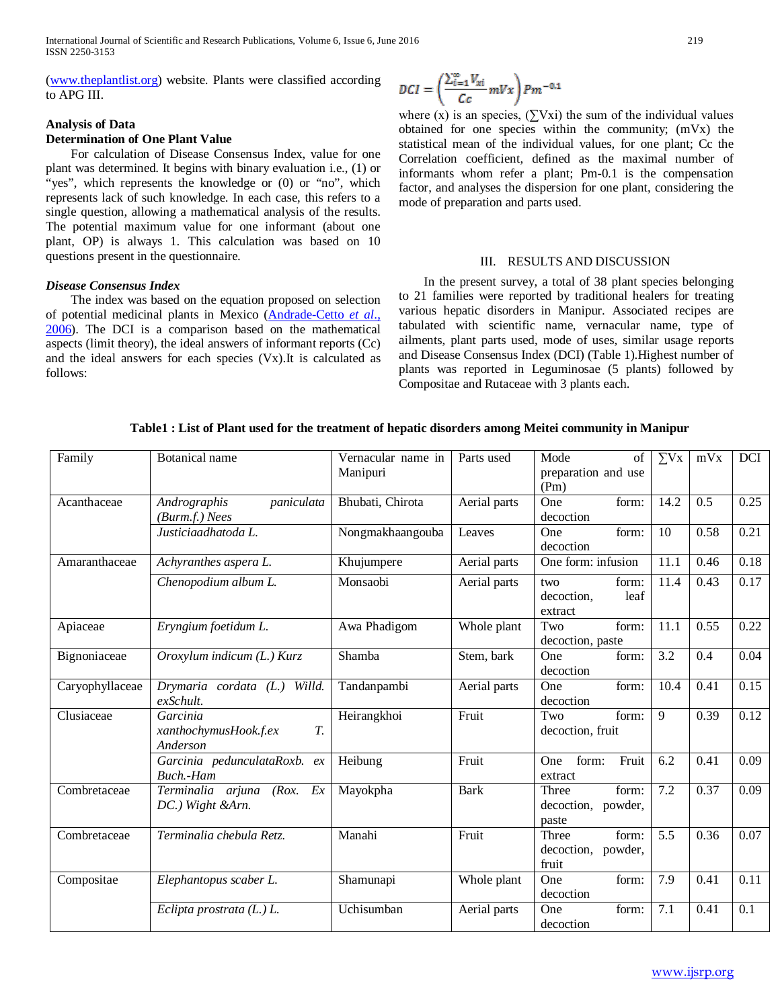[\(www.theplantlist.org\)](http://www.theplantlist.org/) website. Plants were classified according to APG III.

# **Analysis of Data**

## **Determination of One Plant Value**

 For calculation of Disease Consensus Index, value for one plant was determined. It begins with binary evaluation i.e., (1) or "yes", which represents the knowledge or  $(0)$  or "no", which represents lack of such knowledge. In each case, this refers to a single question, allowing a mathematical analysis of the results. The potential maximum value for one informant (about one plant, OP) is always 1. This calculation was based on 10 questions present in the questionnaire.

## *Disease Consensus Index*

 The index was based on the equation proposed on selection of potential medicinal plants in Mexico (Andrade-Cetto *et al*., 2006). The DCI is a comparison based on the mathematical aspects (limit theory), the ideal answers of informant reports (Cc) and the ideal answers for each species (Vx).It is calculated as follows:

$$
DCI=\left(\frac{\sum_{i=1}^{\infty}V_{xi}}{Cc}mVx\right)Pm^{-0.1}
$$

where (x) is an species,  $(\sum Vxi)$  the sum of the individual values obtained for one species within the community; (mVx) the statistical mean of the individual values, for one plant; Cc the Correlation coefficient, defined as the maximal number of informants whom refer a plant; Pm-0.1 is the compensation factor, and analyses the dispersion for one plant, considering the mode of preparation and parts used.

#### III. RESULTS AND DISCUSSION

 In the present survey, a total of 38 plant species belonging to 21 families were reported by traditional healers for treating various hepatic disorders in Manipur. Associated recipes are tabulated with scientific name, vernacular name, type of ailments, plant parts used, mode of uses, similar usage reports and Disease Consensus Index (DCI) (Table 1).Highest number of plants was reported in Leguminosae (5 plants) followed by Compositae and Rutaceae with 3 plants each.

**Table1 : List of Plant used for the treatment of hepatic disorders among Meitei community in Manipur**

| Family          | <b>Botanical</b> name                               | Vernacular name in<br>Manipuri | Parts used   | Mode<br>of<br>preparation and use<br>(Pm)        | $\sum$ Vx         | mVx  | <b>DCI</b>       |
|-----------------|-----------------------------------------------------|--------------------------------|--------------|--------------------------------------------------|-------------------|------|------------------|
| Acanthaceae     | paniculata<br>Andrographis<br>$(Burm.f.)$ Nees      | Bhubati, Chirota               | Aerial parts | One<br>form:<br>decoction                        | 14.2              | 0.5  | 0.25             |
|                 | Justiciaadhatoda L.                                 | Nongmakhaangouba               | Leaves       | form:<br>One<br>decoction                        | 10                | 0.58 | 0.21             |
| Amaranthaceae   | Achyranthes aspera L.                               | Khujumpere                     | Aerial parts | One form: infusion                               | 11.1              | 0.46 | 0.18             |
|                 | Chenopodium album L.                                | Monsaobi                       | Aerial parts | form:<br>two<br>leaf<br>decoction.<br>extract    | 11.4              | 0.43 | 0.17             |
| Apiaceae        | Eryngium foetidum L.                                | Awa Phadigom                   | Whole plant  | Two<br>form:<br>decoction, paste                 | $\overline{11.1}$ | 0.55 | 0.22             |
| Bignoniaceae    | Oroxylum indicum (L.) Kurz                          | Shamba                         | Stem, bark   | One<br>form:<br>decoction                        | 3.2               | 0.4  | 0.04             |
| Caryophyllaceae | Drymaria cordata (L.) Willd.<br>exSchult.           | Tandanpambi                    | Aerial parts | form:<br>One<br>decoction                        | 10.4              | 0.41 | 0.15             |
| Clusiaceae      | Garcinia<br>xanthochymusHook.f.ex<br>T.<br>Anderson | Heirangkhoi                    | Fruit        | form:<br>Two<br>decoction, fruit                 | 9                 | 0.39 | 0.12             |
|                 | Garcinia pedunculataRoxb.<br>ex<br>Buch.-Ham        | Heibung                        | Fruit        | form:<br>Fruit<br>One<br>extract                 | 6.2               | 0.41 | 0.09             |
| Combretaceae    | (Rox. Ex)<br>Terminalia arjuna<br>DC.) Wight &Arn.  | Mayokpha                       | <b>Bark</b>  | form:<br>Three<br>decoction, powder,<br>paste    | $\overline{7.2}$  | 0.37 | 0.09             |
| Combretaceae    | Terminalia chebula Retz.                            | Manahi                         | Fruit        | Three<br>form:<br>decoction,<br>powder,<br>fruit | 5.5               | 0.36 | 0.07             |
| Compositae      | Elephantopus scaber L.                              | Shamunapi                      | Whole plant  | One<br>form:<br>decoction                        | 7.9               | 0.41 | 0.11             |
|                 | Eclipta prostrata $(L)$ .                           | Uchisumban                     | Aerial parts | form:<br>One<br>decoction                        | 7.1               | 0.41 | $\overline{0.1}$ |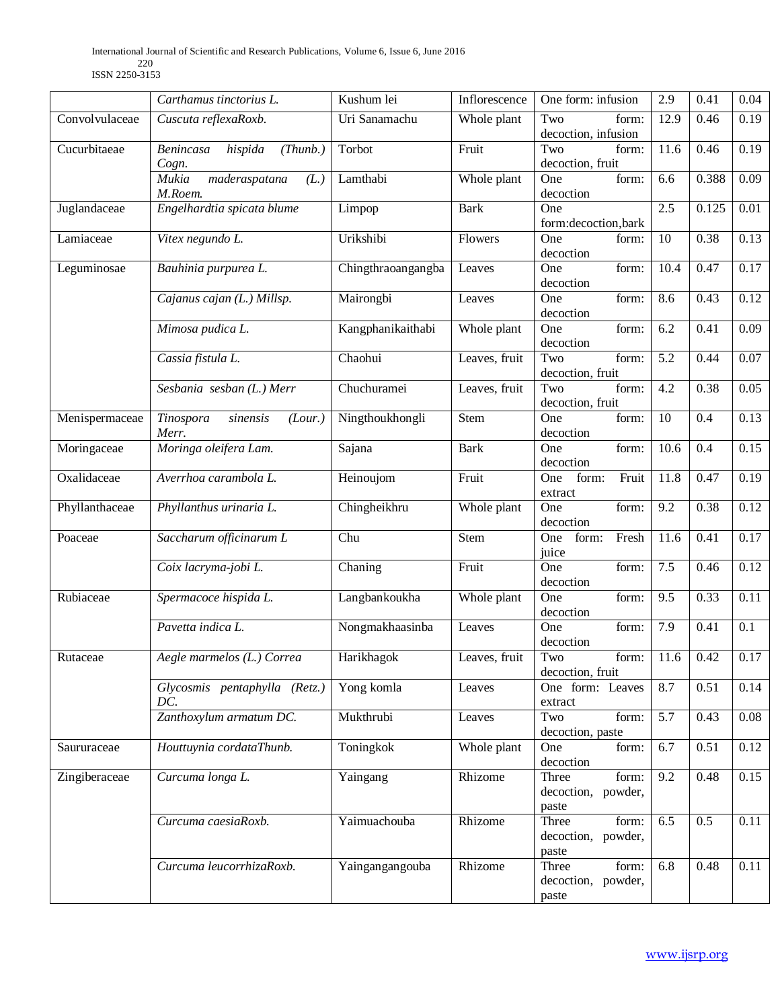|                | Carthamus tinctorius L.                          | Kushum lei         | Inflorescence | One form: infusion                            | 2.9              | 0.41  | 0.04              |
|----------------|--------------------------------------------------|--------------------|---------------|-----------------------------------------------|------------------|-------|-------------------|
| Convolvulaceae | Cuscuta reflexaRoxb.                             | Uri Sanamachu      | Whole plant   | Two<br>form:<br>decoction, infusion           | 12.9             | 0.46  | 0.19              |
| Cucurbitaeae   | hispida<br>(Thunb.)<br>Benincasa<br>Cogn.        | Torbot             | Fruit         | form:<br>Two<br>decoction, fruit              | 11.6             | 0.46  | 0.19              |
|                | <b>Mukia</b><br>maderaspatana<br>(L.)<br>M.Roem. | Lamthabi           | Whole plant   | form:<br>One<br>decoction                     | 6.6              | 0.388 | 0.09              |
| Juglandaceae   | Engelhardtia spicata blume                       | Limpop             | <b>Bark</b>   | One<br>form: decoction, bark                  | 2.5              | 0.125 | 0.01              |
| Lamiaceae      | Vitex negundo L.                                 | Urikshibi          | Flowers       | One<br>form:<br>decoction                     | 10               | 0.38  | 0.13              |
| Leguminosae    | Bauhinia purpurea L.                             | Chingthraoangangba | Leaves        | One<br>form:<br>decoction                     | 10.4             | 0.47  | 0.17              |
|                | Cajanus cajan (L.) Millsp.                       | Mairongbi          | Leaves        | One<br>form:<br>decoction                     | 8.6              | 0.43  | 0.12              |
|                | Mimosa pudica L.                                 | Kangphanikaithabi  | Whole plant   | One<br>form:<br>decoction                     | 6.2              | 0.41  | 0.09              |
|                | Cassia fistula L.                                | Chaohui            | Leaves, fruit | Two<br>form:<br>decoction, fruit              | $\overline{5.2}$ | 0.44  | 0.07              |
|                | Sesbania sesban $(L)$ Merr                       | Chuchuramei        | Leaves, fruit | Two<br>form:<br>decoction, fruit              | $\overline{4.2}$ | 0.38  | 0.05              |
| Menispermaceae | sinensis<br>(Lour.)<br>Tinospora<br>Merr.        | Ningthoukhongli    | <b>Stem</b>   | One<br>form:<br>decoction                     | $\overline{10}$  | 0.4   | 0.13              |
| Moringaceae    | Moringa oleifera Lam.                            | Sajana             | <b>Bark</b>   | One<br>form:<br>decoction                     | 10.6             | 0.4   | 0.15              |
| Oxalidaceae    | Averrhoa carambola L.                            | Heinoujom          | Fruit         | form:<br>Fruit<br>One<br>extract              | 11.8             | 0.47  | 0.19              |
| Phyllanthaceae | Phyllanthus urinaria L.                          | Chingheikhru       | Whole plant   | form:<br>One<br>decoction                     | 9.2              | 0.38  | 0.12              |
| Poaceae        | Saccharum officinarum L                          | Chu                | <b>Stem</b>   | form:<br>Fresh<br>One<br>juice                | 11.6             | 0.41  | 0.17              |
|                | Coix lacryma-jobi L.                             | Chaning            | Fruit         | form:<br>One<br>decoction                     | 7.5              | 0.46  | 0.12              |
| Rubiaceae      | Spermacoce hispida L.                            | Langbankoukha      | Whole plant   | One<br>form:<br>decoction                     | 9.5              | 0.33  | 0.11              |
|                | Pavetta indica L.                                | Nongmakhaasinba    | Leaves        | One<br>form:<br>decoction                     | 7.9              | 0.41  | 0.1               |
| Rutaceae       | Aegle marmelos (L.) Correa                       | Harikhagok         | Leaves, fruit | Two<br>form:<br>decoction, fruit              | 11.6             | 0.42  | 0.17              |
|                | Glycosmis pentaphylla (Retz.)<br>DC.             | Yong komla         | Leaves        | One form: Leaves<br>extract                   | 8.7              | 0.51  | 0.14              |
|                | Zanthoxylum armatum DC.                          | Mukthrubi          | Leaves        | form:<br>Two<br>decoction, paste              | 5.7              | 0.43  | 0.08              |
| Saururaceae    | Houttuynia cordataThunb.                         | Toningkok          | Whole plant   | form:<br>One<br>decoction                     | 6.7              | 0.51  | 0.12              |
| Zingiberaceae  | Curcuma longa L.                                 | Yaingang           | Rhizome       | Three<br>form:<br>decoction, powder,<br>paste | $\overline{9.2}$ | 0.48  | 0.15              |
|                | Curcuma caesiaRoxb.                              | Yaimuachouba       | Rhizome       | form:<br>Three<br>decoction, powder,<br>paste | 6.5              | 0.5   | $\overline{0.11}$ |
|                | Curcuma leucorrhizaRoxb.                         | Yaingangangouba    | Rhizome       | form:<br>Three<br>decoction, powder,<br>paste | 6.8              | 0.48  | 0.11              |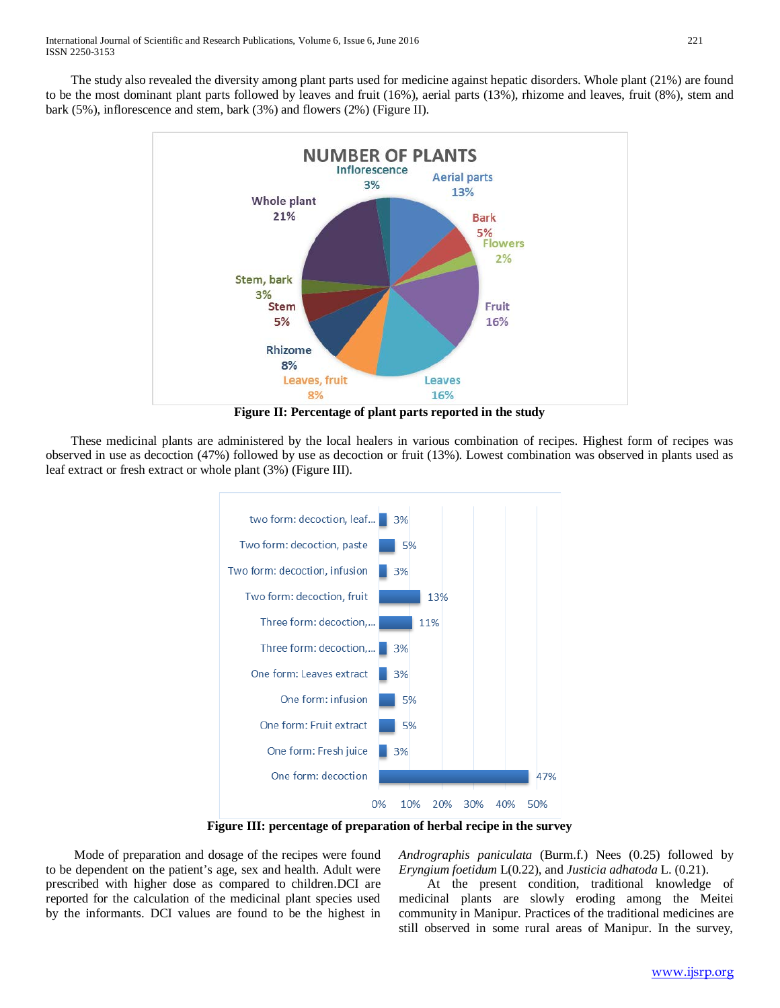The study also revealed the diversity among plant parts used for medicine against hepatic disorders. Whole plant (21%) are found to be the most dominant plant parts followed by leaves and fruit (16%), aerial parts (13%), rhizome and leaves, fruit (8%), stem and bark (5%), inflorescence and stem, bark (3%) and flowers (2%) (Figure II).



**Figure II: Percentage of plant parts reported in the study**

 These medicinal plants are administered by the local healers in various combination of recipes. Highest form of recipes was observed in use as decoction (47%) followed by use as decoction or fruit (13%). Lowest combination was observed in plants used as leaf extract or fresh extract or whole plant (3%) (Figure III).



**Figure III: percentage of preparation of herbal recipe in the survey**

 Mode of preparation and dosage of the recipes were found to be dependent on the patient's age, sex and health. Adult were prescribed with higher dose as compared to children.DCI are reported for the calculation of the medicinal plant species used by the informants. DCI values are found to be the highest in

*Andrographis paniculata* (Burm.f.) Nees (0.25) followed by *Eryngium foetidum* L(0.22), and *Justicia adhatoda* L. (0.21).

 At the present condition, traditional knowledge of medicinal plants are slowly eroding among the Meitei community in Manipur. Practices of the traditional medicines are still observed in some rural areas of Manipur. In the survey,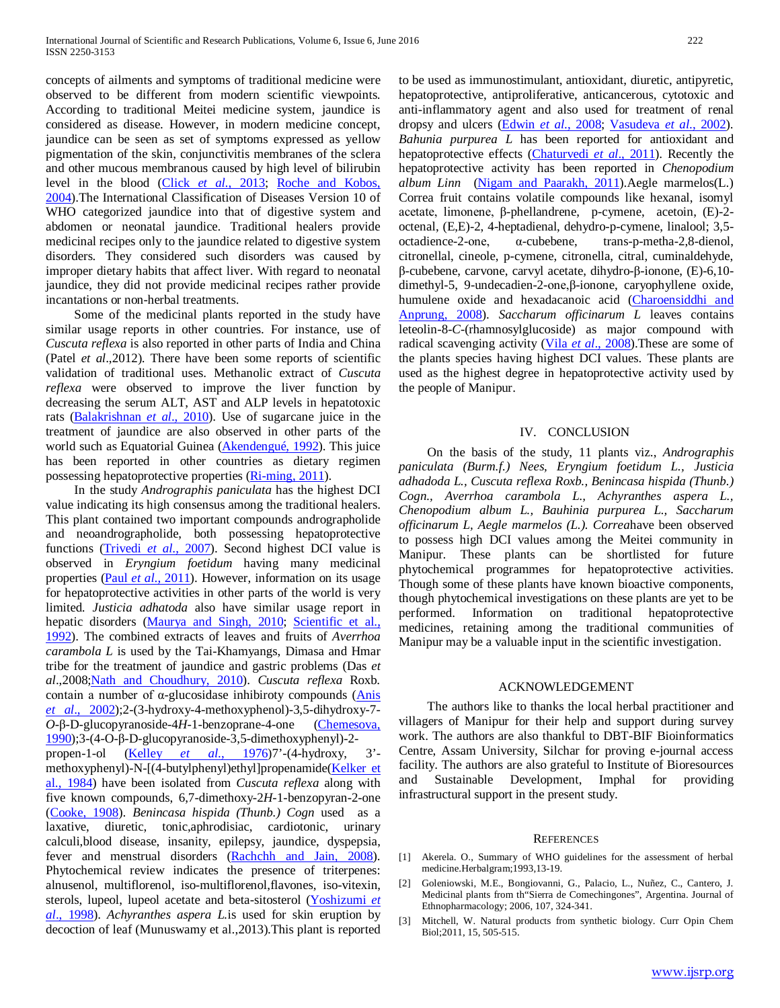concepts of ailments and symptoms of traditional medicine were observed to be different from modern scientific viewpoints. According to traditional Meitei medicine system, jaundice is considered as disease. However, in modern medicine concept, jaundice can be seen as set of symptoms expressed as yellow pigmentation of the skin, conjunctivitis membranes of the sclera and other mucous membranous caused by high level of bilirubin level in the blood (Click *et al.*, 2013; Roche and Kobos, 2004).The International Classification of Diseases Version 10 of WHO categorized jaundice into that of digestive system and abdomen or neonatal jaundice. Traditional healers provide medicinal recipes only to the jaundice related to digestive system disorders. They considered such disorders was caused by improper dietary habits that affect liver. With regard to neonatal jaundice, they did not provide medicinal recipes rather provide incantations or non-herbal treatments.

 Some of the medicinal plants reported in the study have similar usage reports in other countries. For instance, use of *Cuscuta reflexa* is also reported in other parts of India and China (Patel *et al*.,2012). There have been some reports of scientific validation of traditional uses. Methanolic extract of *Cuscuta reflexa* were observed to improve the liver function by decreasing the serum ALT, AST and ALP levels in hepatotoxic rats (Balakrishnan *et al*., 2010). Use of sugarcane juice in the treatment of jaundice are also observed in other parts of the world such as Equatorial Guinea (Akendengué, 1992). This juice has been reported in other countries as dietary regimen possessing hepatoprotective properties (Ri-ming, 2011).

 In the study *Andrographis paniculata* has the highest DCI value indicating its high consensus among the traditional healers. This plant contained two important compounds andrographolide and neoandrographolide, both possessing hepatoprotective functions (Trivedi *et al*., 2007). Second highest DCI value is observed in *Eryngium foetidum* having many medicinal properties (Paul *et al*., 2011). However, information on its usage for hepatoprotective activities in other parts of the world is very limited. *Justicia adhatoda* also have similar usage report in hepatic disorders (Maurya and Singh, 2010; Scientific et al., 1992). The combined extracts of leaves and fruits of *Averrhoa carambola L* is used by the Tai-Khamyangs, Dimasa and Hmar tribe for the treatment of jaundice and gastric problems (Das *et al*.,2008;Nath and Choudhury, 2010). *Cuscuta reflexa* Roxb. contain a number of α-glucosidase inhibiroty compounds (Anis *et al*., 2002);2-(3-hydroxy-4-methoxyphenol)-3,5-dihydroxy-7- *O*-β-D-glucopyranoside-4*H*-1-benzoprane-4-one (Chemesova, 1990);3-(4-O-β-D-glucopyranoside-3,5-dimethoxyphenyl)-2 propen-1-ol (Kelley *et al*., 1976)7'-(4-hydroxy, 3' methoxyphenyl)-N-[(4-butylphenyl)ethyl]propenamide(Kelker et al., 1984) have been isolated from *Cuscuta reflexa* along with five known compounds, 6,7-dimethoxy-2*H*-1-benzopyran-2-one (Cooke, 1908). *Benincasa hispida (Thunb.) Cogn* used as a laxative, diuretic, tonic,aphrodisiac, cardiotonic, urinary calculi,blood disease, insanity, epilepsy, jaundice, dyspepsia, fever and menstrual disorders (Rachchh and Jain, 2008). Phytochemical review indicates the presence of triterpenes: alnusenol, multiflorenol, iso-multiflorenol,flavones, iso-vitexin, sterols, lupeol, lupeol acetate and beta-sitosterol (Yoshizumi *et al*., 1998). *Achyranthes aspera L.*is used for skin eruption by decoction of leaf (Munuswamy et al.,2013).This plant is reported to be used as immunostimulant, antioxidant, diuretic, antipyretic, hepatoprotective, antiproliferative, anticancerous, cytotoxic and anti-inflammatory agent and also used for treatment of renal dropsy and ulcers (Edwin *et al*., 2008; Vasudeva *et al*., 2002). *Bahunia purpurea L* has been reported for antioxidant and hepatoprotective effects (Chaturvedi *et al*., 2011). Recently the hepatoprotective activity has been reported in *Chenopodium album Linn* (Nigam and Paarakh, 2011).Aegle marmelos(L.) Correa fruit contains volatile compounds like hexanal, isomyl acetate, limonene, β-phellandrene, p-cymene, acetoin, (E)-2 octenal, (E,E)-2, 4-heptadienal, dehydro-p-cymene, linalool; 3,5 octadience-2-one, α-cubebene, trans-p-metha-2,8-dienol, citronellal, cineole, p-cymene, citronella, citral, cuminaldehyde, β-cubebene, carvone, carvyl acetate, dihydro-β-ionone, (E)-6,10 dimethyl-5, 9-undecadien-2-one,β-ionone, caryophyllene oxide, humulene oxide and hexadacanoic acid (Charoensiddhi and Anprung, 2008). *Saccharum officinarum L* leaves contains leteolin-8-*C*-(rhamnosylglucoside) as major compound with radical scavenging activity (Vila *et al*., 2008).These are some of the plants species having highest DCI values. These plants are used as the highest degree in hepatoprotective activity used by the people of Manipur.

#### IV. CONCLUSION

 On the basis of the study, 11 plants viz., *Andrographis paniculata (Burm.f.) Nees, Eryngium foetidum L., Justicia adhadoda L., Cuscuta reflexa Roxb., Benincasa hispida (Thunb.) Cogn., Averrhoa carambola L., Achyranthes aspera L., Chenopodium album L., Bauhinia purpurea L., Saccharum officinarum L, Aegle marmelos (L.). Correa*have been observed to possess high DCI values among the Meitei community in Manipur. These plants can be shortlisted for future phytochemical programmes for hepatoprotective activities. Though some of these plants have known bioactive components, though phytochemical investigations on these plants are yet to be performed. Information on traditional hepatoprotective medicines, retaining among the traditional communities of Manipur may be a valuable input in the scientific investigation.

#### ACKNOWLEDGEMENT

 The authors like to thanks the local herbal practitioner and villagers of Manipur for their help and support during survey work. The authors are also thankful to DBT-BIF Bioinformatics Centre, Assam University, Silchar for proving e-journal access facility. The authors are also grateful to Institute of Bioresources and Sustainable Development, Imphal for providing infrastructural support in the present study.

#### **REFERENCES**

- [1] Akerela. O., Summary of WHO guidelines for the assessment of herbal medicine.Herbalgram;1993,13-19.
- [2] Goleniowski, M.E., Bongiovanni, G., Palacio, L., Nuñez, C., Cantero, J. Medicinal plants from th"Sierra de Comechingones", Argentina. Journal of Ethnopharmacology; 2006, 107, 324-341.
- [3] Mitchell, W. Natural products from synthetic biology. Curr Opin Chem Biol;2011, 15, 505-515.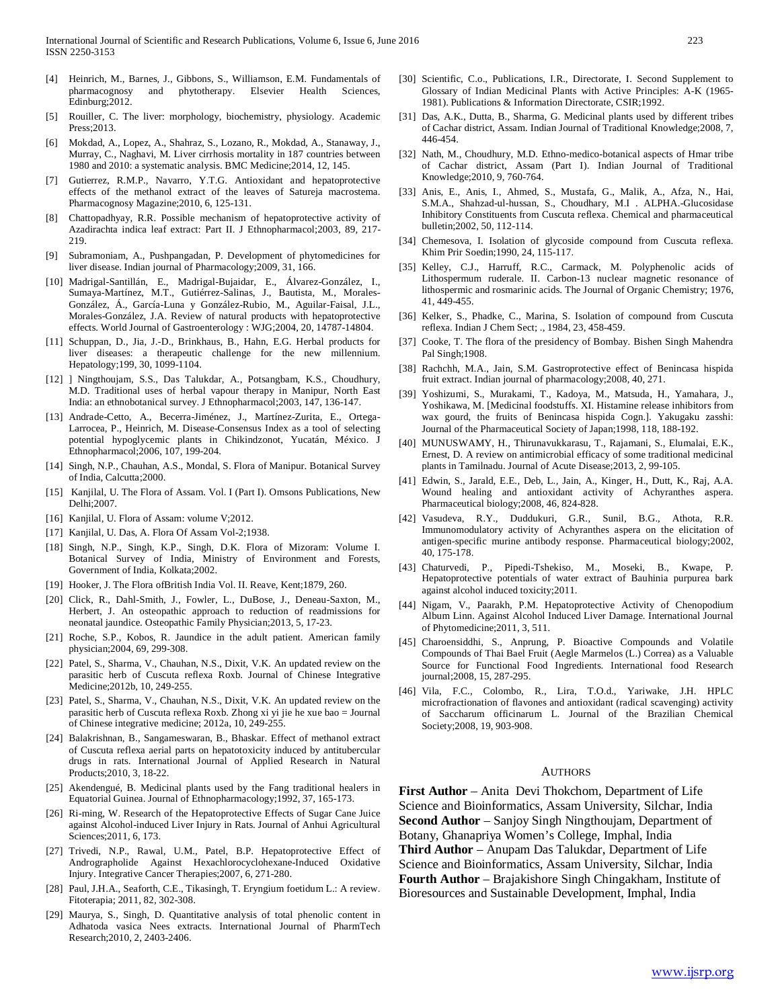- [4] Heinrich, M., Barnes, J., Gibbons, S., Williamson, E.M. Fundamentals of pharmacognosy and phytotherapy. Elsevier Health Sciences, Edinburg;2012.
- [5] Rouiller, C. The liver: morphology, biochemistry, physiology. Academic Press;2013.
- [6] Mokdad, A., Lopez, A., Shahraz, S., Lozano, R., Mokdad, A., Stanaway, J., Murray, C., Naghavi, M. Liver cirrhosis mortality in 187 countries between 1980 and 2010: a systematic analysis. BMC Medicine;2014, 12, 145.
- [7] Gutierrez, R.M.P., Navarro, Y.T.G. Antioxidant and hepatoprotective effects of the methanol extract of the leaves of Satureja macrostema. Pharmacognosy Magazine;2010, 6, 125-131.
- [8] Chattopadhyay, R.R. Possible mechanism of hepatoprotective activity of Azadirachta indica leaf extract: Part II. J Ethnopharmacol;2003, 89, 217- 219.
- [9] Subramoniam, A., Pushpangadan, P. Development of phytomedicines for liver disease. Indian journal of Pharmacology;2009, 31, 166.
- [10] Madrigal-Santillán, E., Madrigal-Bujaidar, E., Álvarez-González, I., Sumaya-Martínez, M.T., Gutiérrez-Salinas, J., Bautista, M., Morales-González, Á., García-Luna y González-Rubio, M., Aguilar-Faisal, J.L., Morales-González, J.A. Review of natural products with hepatoprotective effects. World Journal of Gastroenterology : WJG;2004, 20, 14787-14804.
- [11] Schuppan, D., Jia, J.-D., Brinkhaus, B., Hahn, E.G. Herbal products for liver diseases: a therapeutic challenge for the new millennium. Hepatology;199, 30, 1099-1104.
- [12] ] Ningthoujam, S.S., Das Talukdar, A., Potsangbam, K.S., Choudhury, M.D. Traditional uses of herbal vapour therapy in Manipur, North East India: an ethnobotanical survey. J Ethnopharmacol;2003, 147, 136-147.
- [13] Andrade-Cetto, A., Becerra-Jiménez, J., Martínez-Zurita, E., Ortega-Larrocea, P., Heinrich, M. Disease-Consensus Index as a tool of selecting potential hypoglycemic plants in Chikindzonot, Yucatán, México. J Ethnopharmacol;2006, 107, 199-204.
- [14] Singh, N.P., Chauhan, A.S., Mondal, S. Flora of Manipur. Botanical Survey of India, Calcutta;2000.
- [15] Kanjilal, U. The Flora of Assam. Vol. I (Part I). Omsons Publications, New Delhi;2007.
- [16] Kanjilal, U. Flora of Assam: volume V;2012.
- [17] Kanjilal, U. Das, A. Flora Of Assam Vol-2;1938.
- [18] Singh, N.P., Singh, K.P., Singh, D.K. Flora of Mizoram: Volume I. Botanical Survey of India, Ministry of Environment and Forests, Government of India, Kolkata;2002.
- [19] Hooker, J. The Flora of British India Vol. II. Reave, Kent;1879, 260.
- [20] Click, R., Dahl-Smith, J., Fowler, L., DuBose, J., Deneau-Saxton, M., Herbert, J. An osteopathic approach to reduction of readmissions for neonatal jaundice. Osteopathic Family Physician;2013, 5, 17-23.
- [21] Roche, S.P., Kobos, R. Jaundice in the adult patient. American family physician;2004, 69, 299-308.
- [22] Patel, S., Sharma, V., Chauhan, N.S., Dixit, V.K. An updated review on the parasitic herb of Cuscuta reflexa Roxb. Journal of Chinese Integrative Medicine;2012b, 10, 249-255.
- [23] Patel, S., Sharma, V., Chauhan, N.S., Dixit, V.K. An updated review on the parasitic herb of Cuscuta reflexa Roxb. Zhong xi yi jie he xue bao = Journal of Chinese integrative medicine; 2012a, 10, 249-255.
- [24] Balakrishnan, B., Sangameswaran, B., Bhaskar. Effect of methanol extract of Cuscuta reflexa aerial parts on hepatotoxicity induced by antitubercular drugs in rats. International Journal of Applied Research in Natural Products;2010, 3, 18-22.
- [25] Akendengué, B. Medicinal plants used by the Fang traditional healers in Equatorial Guinea. Journal of Ethnopharmacology;1992, 37, 165-173.
- [26] Ri-ming, W. Research of the Hepatoprotective Effects of Sugar Cane Juice against Alcohol-induced Liver Injury in Rats. Journal of Anhui Agricultural Sciences;2011, 6, 173.
- [27] Trivedi, N.P., Rawal, U.M., Patel, B.P. Hepatoprotective Effect of Andrographolide Against Hexachlorocyclohexane-Induced Oxidative Injury. Integrative Cancer Therapies;2007, 6, 271-280.
- [28] Paul, J.H.A., Seaforth, C.E., Tikasingh, T. Eryngium foetidum L.: A review. Fitoterapia; 2011, 82, 302-308.
- [29] Maurya, S., Singh, D. Quantitative analysis of total phenolic content in Adhatoda vasica Nees extracts. International Journal of PharmTech Research;2010, 2, 2403-2406.
- [30] Scientific, C.o., Publications, I.R., Directorate, I. Second Supplement to Glossary of Indian Medicinal Plants with Active Principles: A-K (1965- 1981). Publications & Information Directorate, CSIR;1992.
- [31] Das, A.K., Dutta, B., Sharma, G. Medicinal plants used by different tribes of Cachar district, Assam. Indian Journal of Traditional Knowledge;2008, 7, 446-454.
- [32] Nath, M., Choudhury, M.D. Ethno-medico-botanical aspects of Hmar tribe of Cachar district, Assam (Part I). Indian Journal of Traditional Knowledge;2010, 9, 760-764.
- [33] Anis, E., Anis, I., Ahmed, S., Mustafa, G., Malik, A., Afza, N., Hai, S.M.A., Shahzad-ul-hussan, S., Choudhary, M.I . ALPHA.-Glucosidase Inhibitory Constituents from Cuscuta reflexa. Chemical and pharmaceutical bulletin;2002, 50, 112-114.
- [34] Chemesova, I. Isolation of glycoside compound from Cuscuta reflexa. Khim Prir Soedin;1990, 24, 115-117.
- [35] Kelley, C.J., Harruff, R.C., Carmack, M. Polyphenolic acids of Lithospermum ruderale. II. Carbon-13 nuclear magnetic resonance of lithospermic and rosmarinic acids. The Journal of Organic Chemistry; 1976, 41, 449-455.
- [36] Kelker, S., Phadke, C., Marina, S. Isolation of compound from Cuscuta reflexa. Indian J Chem Sect; ., 1984, 23, 458-459.
- [37] Cooke, T. The flora of the presidency of Bombay. Bishen Singh Mahendra Pal Singh;1908.
- [38] Rachchh, M.A., Jain, S.M. Gastroprotective effect of Benincasa hispida fruit extract. Indian journal of pharmacology;2008, 40, 271.
- [39] Yoshizumi, S., Murakami, T., Kadoya, M., Matsuda, H., Yamahara, J., Yoshikawa, M. [Medicinal foodstuffs. XI. Histamine release inhibitors from wax gourd, the fruits of Benincasa hispida Cogn.]. Yakugaku zasshi: Journal of the Pharmaceutical Society of Japan;1998, 118, 188-192.
- [40] MUNUSWAMY, H., Thirunavukkarasu, T., Rajamani, S., Elumalai, E.K., Ernest, D. A review on antimicrobial efficacy of some traditional medicinal plants in Tamilnadu. Journal of Acute Disease;2013, 2, 99-105.
- [41] Edwin, S., Jarald, E.E., Deb, L., Jain, A., Kinger, H., Dutt, K., Raj, A.A. Wound healing and antioxidant activity of Achyranthes aspera. Pharmaceutical biology;2008, 46, 824-828.
- [42] Vasudeva, R.Y., Duddukuri, G.R., Sunil, B.G., Athota, R.R. Immunomodulatory activity of Achyranthes aspera on the elicitation of antigen-specific murine antibody response. Pharmaceutical biology;2002, 40, 175-178.
- [43] Chaturvedi, P., Pipedi-Tshekiso, M., Moseki, B., Kwape, P. Hepatoprotective potentials of water extract of Bauhinia purpurea bark against alcohol induced toxicity;2011.
- [44] Nigam, V., Paarakh, P.M. Hepatoprotective Activity of Chenopodium Album Linn. Against Alcohol Induced Liver Damage. International Journal of Phytomedicine;2011, 3, 511.
- [45] Charoensiddhi, S., Anprung, P. Bioactive Compounds and Volatile Compounds of Thai Bael Fruit (Aegle Marmelos (L.) Correa) as a Valuable Source for Functional Food Ingredients. International food Research journal;2008, 15, 287-295.
- [46] Vila, F.C., Colombo, R., Lira, T.O.d., Yariwake, J.H. HPLC microfractionation of flavones and antioxidant (radical scavenging) activity of Saccharum officinarum L. Journal of the Brazilian Chemical Society;2008, 19, 903-908.

#### AUTHORS

**First Author** – Anita Devi Thokchom, Department of Life Science and Bioinformatics, Assam University, Silchar, India **Second Author** – Sanjoy Singh Ningthoujam, Department of Botany, Ghanapriya Women's College, Imphal, India **Third Author** – Anupam Das Talukdar, Department of Life Science and Bioinformatics, Assam University, Silchar, India **Fourth Author** – Brajakishore Singh Chingakham, Institute of Bioresources and Sustainable Development, Imphal, India